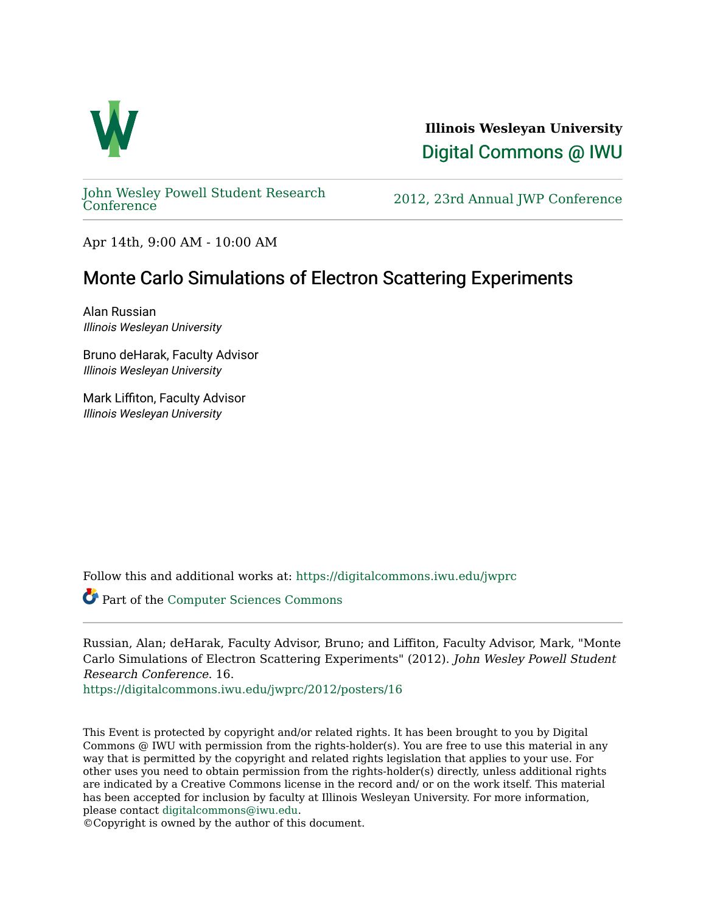

**Illinois Wesleyan University**  [Digital Commons @ IWU](https://digitalcommons.iwu.edu/) 

[John Wesley Powell Student Research](https://digitalcommons.iwu.edu/jwprc) 

2012, 23rd Annual JWP [Conference](https://digitalcommons.iwu.edu/jwprc)

Apr 14th, 9:00 AM - 10:00 AM

# Monte Carlo Simulations of Electron Scattering Experiments

Alan Russian Illinois Wesleyan University

Bruno deHarak, Faculty Advisor Illinois Wesleyan University

Mark Liffiton, Faculty Advisor Illinois Wesleyan University

Follow this and additional works at: [https://digitalcommons.iwu.edu/jwprc](https://digitalcommons.iwu.edu/jwprc?utm_source=digitalcommons.iwu.edu%2Fjwprc%2F2012%2Fposters%2F16&utm_medium=PDF&utm_campaign=PDFCoverPages) 

Part of the [Computer Sciences Commons](http://network.bepress.com/hgg/discipline/142?utm_source=digitalcommons.iwu.edu%2Fjwprc%2F2012%2Fposters%2F16&utm_medium=PDF&utm_campaign=PDFCoverPages)

Russian, Alan; deHarak, Faculty Advisor, Bruno; and Liffiton, Faculty Advisor, Mark, "Monte Carlo Simulations of Electron Scattering Experiments" (2012). John Wesley Powell Student Research Conference. 16.

[https://digitalcommons.iwu.edu/jwprc/2012/posters/16](https://digitalcommons.iwu.edu/jwprc/2012/posters/16?utm_source=digitalcommons.iwu.edu%2Fjwprc%2F2012%2Fposters%2F16&utm_medium=PDF&utm_campaign=PDFCoverPages)

This Event is protected by copyright and/or related rights. It has been brought to you by Digital Commons @ IWU with permission from the rights-holder(s). You are free to use this material in any way that is permitted by the copyright and related rights legislation that applies to your use. For other uses you need to obtain permission from the rights-holder(s) directly, unless additional rights are indicated by a Creative Commons license in the record and/ or on the work itself. This material has been accepted for inclusion by faculty at Illinois Wesleyan University. For more information, please contact [digitalcommons@iwu.edu.](mailto:digitalcommons@iwu.edu)

©Copyright is owned by the author of this document.